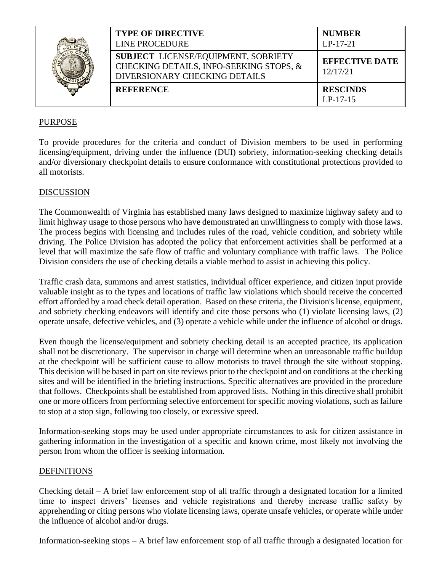|  | <b>TYPE OF DIRECTIVE</b><br><b>LINE PROCEDURE</b>                                                                      | <b>NUMBER</b><br>$LP-17-21$       |
|--|------------------------------------------------------------------------------------------------------------------------|-----------------------------------|
|  | <b>SUBJECT LICENSE/EQUIPMENT, SOBRIETY</b><br>CHECKING DETAILS, INFO-SEEKING STOPS, &<br>DIVERSIONARY CHECKING DETAILS | <b>EFFECTIVE DATE</b><br>12/17/21 |
|  | <b>REFERENCE</b>                                                                                                       | <b>RESCINDS</b><br>$LP-17-15$     |

# PURPOSE

To provide procedures for the criteria and conduct of Division members to be used in performing licensing/equipment, driving under the influence (DUI) sobriety, information-seeking checking details and/or diversionary checkpoint details to ensure conformance with constitutional protections provided to all motorists.

#### DISCUSSION

The Commonwealth of Virginia has established many laws designed to maximize highway safety and to limit highway usage to those persons who have demonstrated an unwillingness to comply with those laws. The process begins with licensing and includes rules of the road, vehicle condition, and sobriety while driving. The Police Division has adopted the policy that enforcement activities shall be performed at a level that will maximize the safe flow of traffic and voluntary compliance with traffic laws. The Police Division considers the use of checking details a viable method to assist in achieving this policy.

Traffic crash data, summons and arrest statistics, individual officer experience, and citizen input provide valuable insight as to the types and locations of traffic law violations which should receive the concerted effort afforded by a road check detail operation. Based on these criteria, the Division's license, equipment, and sobriety checking endeavors will identify and cite those persons who (1) violate licensing laws, (2) operate unsafe, defective vehicles, and (3) operate a vehicle while under the influence of alcohol or drugs.

Even though the license/equipment and sobriety checking detail is an accepted practice, its application shall not be discretionary. The supervisor in charge will determine when an unreasonable traffic buildup at the checkpoint will be sufficient cause to allow motorists to travel through the site without stopping. This decision will be based in part on site reviews prior to the checkpoint and on conditions at the checking sites and will be identified in the briefing instructions. Specific alternatives are provided in the procedure that follows. Checkpoints shall be established from approved lists. Nothing in this directive shall prohibit one or more officers from performing selective enforcement for specific moving violations, such as failure to stop at a stop sign, following too closely, or excessive speed.

Information-seeking stops may be used under appropriate circumstances to ask for citizen assistance in gathering information in the investigation of a specific and known crime, most likely not involving the person from whom the officer is seeking information.

#### **DEFINITIONS**

Checking detail – A brief law enforcement stop of all traffic through a designated location for a limited time to inspect drivers' licenses and vehicle registrations and thereby increase traffic safety by apprehending or citing persons who violate licensing laws, operate unsafe vehicles, or operate while under the influence of alcohol and/or drugs.

Information-seeking stops – A brief law enforcement stop of all traffic through a designated location for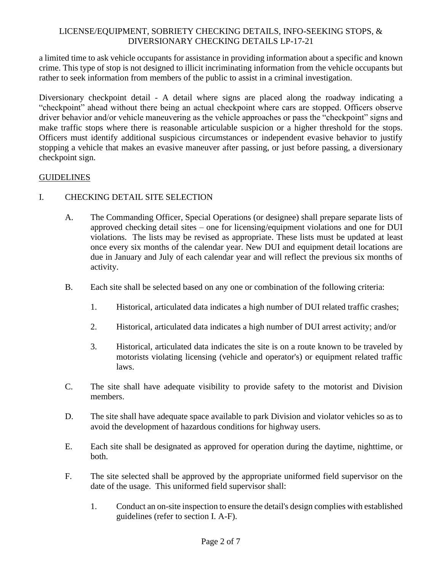a limited time to ask vehicle occupants for assistance in providing information about a specific and known crime. This type of stop is not designed to illicit incriminating information from the vehicle occupants but rather to seek information from members of the public to assist in a criminal investigation.

Diversionary checkpoint detail - A detail where signs are placed along the roadway indicating a "checkpoint" ahead without there being an actual checkpoint where cars are stopped. Officers observe driver behavior and/or vehicle maneuvering as the vehicle approaches or pass the "checkpoint" signs and make traffic stops where there is reasonable articulable suspicion or a higher threshold for the stops. Officers must identify additional suspicious circumstances or independent evasive behavior to justify stopping a vehicle that makes an evasive maneuver after passing, or just before passing, a diversionary checkpoint sign.

# **GUIDELINES**

# I. CHECKING DETAIL SITE SELECTION

- A. The Commanding Officer, Special Operations (or designee) shall prepare separate lists of approved checking detail sites – one for licensing/equipment violations and one for DUI violations. The lists may be revised as appropriate. These lists must be updated at least once every six months of the calendar year. New DUI and equipment detail locations are due in January and July of each calendar year and will reflect the previous six months of activity.
- B. Each site shall be selected based on any one or combination of the following criteria:
	- 1. Historical, articulated data indicates a high number of DUI related traffic crashes;
	- 2. Historical, articulated data indicates a high number of DUI arrest activity; and/or
	- 3. Historical, articulated data indicates the site is on a route known to be traveled by motorists violating licensing (vehicle and operator's) or equipment related traffic laws.
- C. The site shall have adequate visibility to provide safety to the motorist and Division members.
- D. The site shall have adequate space available to park Division and violator vehicles so as to avoid the development of hazardous conditions for highway users.
- E. Each site shall be designated as approved for operation during the daytime, nighttime, or both.
- F. The site selected shall be approved by the appropriate uniformed field supervisor on the date of the usage. This uniformed field supervisor shall:
	- 1. Conduct an on-site inspection to ensure the detail's design complies with established guidelines (refer to section I. A-F).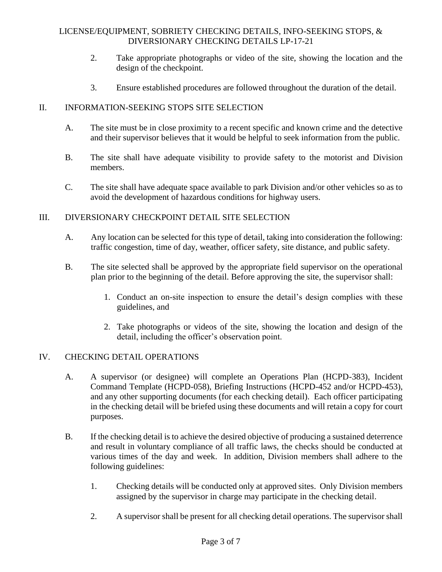- 2. Take appropriate photographs or video of the site, showing the location and the design of the checkpoint.
- 3. Ensure established procedures are followed throughout the duration of the detail.

# II. INFORMATION-SEEKING STOPS SITE SELECTION

- A. The site must be in close proximity to a recent specific and known crime and the detective and their supervisor believes that it would be helpful to seek information from the public.
- B. The site shall have adequate visibility to provide safety to the motorist and Division members.
- C. The site shall have adequate space available to park Division and/or other vehicles so as to avoid the development of hazardous conditions for highway users.

# III. DIVERSIONARY CHECKPOINT DETAIL SITE SELECTION

- A. Any location can be selected for this type of detail, taking into consideration the following: traffic congestion, time of day, weather, officer safety, site distance, and public safety.
- B. The site selected shall be approved by the appropriate field supervisor on the operational plan prior to the beginning of the detail. Before approving the site, the supervisor shall:
	- 1. Conduct an on-site inspection to ensure the detail's design complies with these guidelines, and
	- 2. Take photographs or videos of the site, showing the location and design of the detail, including the officer's observation point.

# IV. CHECKING DETAIL OPERATIONS

- A. A supervisor (or designee) will complete an Operations Plan (HCPD-383), Incident Command Template (HCPD-058), Briefing Instructions (HCPD-452 and/or HCPD-453), and any other supporting documents (for each checking detail). Each officer participating in the checking detail will be briefed using these documents and will retain a copy for court purposes.
- B. If the checking detail is to achieve the desired objective of producing a sustained deterrence and result in voluntary compliance of all traffic laws, the checks should be conducted at various times of the day and week. In addition, Division members shall adhere to the following guidelines:
	- 1. Checking details will be conducted only at approved sites. Only Division members assigned by the supervisor in charge may participate in the checking detail.
	- 2. A supervisor shall be present for all checking detail operations. The supervisor shall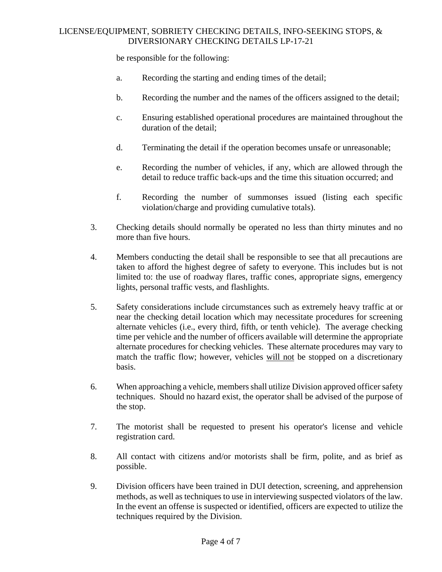be responsible for the following:

- a. Recording the starting and ending times of the detail;
- b. Recording the number and the names of the officers assigned to the detail;
- c. Ensuring established operational procedures are maintained throughout the duration of the detail;
- d. Terminating the detail if the operation becomes unsafe or unreasonable;
- e. Recording the number of vehicles, if any, which are allowed through the detail to reduce traffic back-ups and the time this situation occurred; and
- f. Recording the number of summonses issued (listing each specific violation/charge and providing cumulative totals).
- 3. Checking details should normally be operated no less than thirty minutes and no more than five hours.
- 4. Members conducting the detail shall be responsible to see that all precautions are taken to afford the highest degree of safety to everyone. This includes but is not limited to: the use of roadway flares, traffic cones, appropriate signs, emergency lights, personal traffic vests, and flashlights.
- 5. Safety considerations include circumstances such as extremely heavy traffic at or near the checking detail location which may necessitate procedures for screening alternate vehicles (i.e., every third, fifth, or tenth vehicle). The average checking time per vehicle and the number of officers available will determine the appropriate alternate procedures for checking vehicles. These alternate procedures may vary to match the traffic flow; however, vehicles will not be stopped on a discretionary basis.
- 6. When approaching a vehicle, members shall utilize Division approved officer safety techniques. Should no hazard exist, the operator shall be advised of the purpose of the stop.
- 7. The motorist shall be requested to present his operator's license and vehicle registration card.
- 8. All contact with citizens and/or motorists shall be firm, polite, and as brief as possible.
- 9. Division officers have been trained in DUI detection, screening, and apprehension methods, as well as techniques to use in interviewing suspected violators of the law. In the event an offense is suspected or identified, officers are expected to utilize the techniques required by the Division.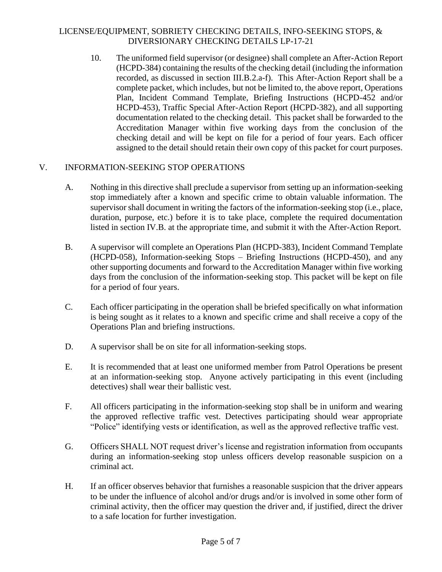10. The uniformed field supervisor (or designee) shall complete an After-Action Report (HCPD-384) containing the results of the checking detail (including the information recorded, as discussed in section III.B.2.a-f). This After-Action Report shall be a complete packet, which includes, but not be limited to, the above report, Operations Plan, Incident Command Template, Briefing Instructions (HCPD-452 and/or HCPD-453), Traffic Special After-Action Report (HCPD-382), and all supporting documentation related to the checking detail. This packet shall be forwarded to the Accreditation Manager within five working days from the conclusion of the checking detail and will be kept on file for a period of four years. Each officer assigned to the detail should retain their own copy of this packet for court purposes.

# V. INFORMATION-SEEKING STOP OPERATIONS

- A. Nothing in this directive shall preclude a supervisor from setting up an information-seeking stop immediately after a known and specific crime to obtain valuable information. The supervisor shall document in writing the factors of the information-seeking stop (i.e., place, duration, purpose, etc.) before it is to take place, complete the required documentation listed in section IV.B. at the appropriate time, and submit it with the After-Action Report.
- B. A supervisor will complete an Operations Plan (HCPD-383), Incident Command Template (HCPD-058), Information-seeking Stops – Briefing Instructions (HCPD-450), and any other supporting documents and forward to the Accreditation Manager within five working days from the conclusion of the information-seeking stop. This packet will be kept on file for a period of four years.
- C. Each officer participating in the operation shall be briefed specifically on what information is being sought as it relates to a known and specific crime and shall receive a copy of the Operations Plan and briefing instructions.
- D. A supervisor shall be on site for all information-seeking stops.
- E. It is recommended that at least one uniformed member from Patrol Operations be present at an information-seeking stop. Anyone actively participating in this event (including detectives) shall wear their ballistic vest.
- F. All officers participating in the information-seeking stop shall be in uniform and wearing the approved reflective traffic vest. Detectives participating should wear appropriate "Police" identifying vests or identification, as well as the approved reflective traffic vest.
- G. Officers SHALL NOT request driver's license and registration information from occupants during an information-seeking stop unless officers develop reasonable suspicion on a criminal act.
- H. If an officer observes behavior that furnishes a reasonable suspicion that the driver appears to be under the influence of alcohol and/or drugs and/or is involved in some other form of criminal activity, then the officer may question the driver and, if justified, direct the driver to a safe location for further investigation.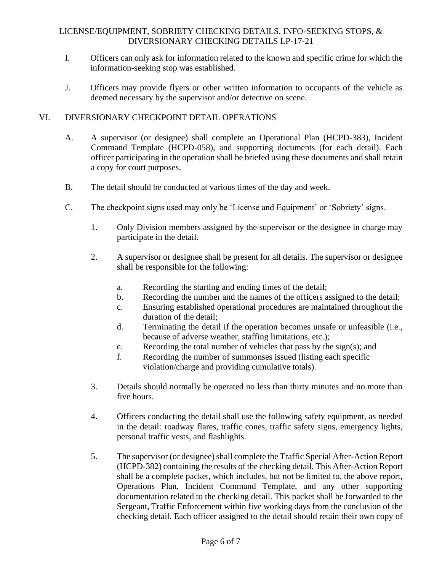- I. Officers can only ask for information related to the known and specific crime for which the information-seeking stop was established.
- J. Officers may provide flyers or other written information to occupants of the vehicle as deemed necessary by the supervisor and/or detective on scene.

### VI. DIVERSIONARY CHECKPOINT DETAIL OPERATIONS

- A. A supervisor (or designee) shall complete an Operational Plan (HCPD-383), Incident Command Template (HCPD-058), and supporting documents (for each detail). Each officer participating in the operation shall be briefed using these documents and shall retain a copy for court purposes.
- B. The detail should be conducted at various times of the day and week.
- C. The checkpoint signs used may only be 'License and Equipment' or 'Sobriety' signs.
	- 1. Only Division members assigned by the supervisor or the designee in charge may participate in the detail.
	- 2. A supervisor or designee shall be present for all details. The supervisor or designee shall be responsible for the following:
		- a. Recording the starting and ending times of the detail;
		- b. Recording the number and the names of the officers assigned to the detail;
		- c. Ensuring established operational procedures are maintained throughout the duration of the detail;
		- d. Terminating the detail if the operation becomes unsafe or unfeasible (i.e., because of adverse weather, staffing limitations, etc.);
		- e. Recording the total number of vehicles that pass by the sign(s); and
		- f. Recording the number of summonses issued (listing each specific violation/charge and providing cumulative totals).
	- 3. Details should normally be operated no less than thirty minutes and no more than five hours.
	- 4. Officers conducting the detail shall use the following safety equipment, as needed in the detail: roadway flares, traffic cones, traffic safety signs, emergency lights, personal traffic vests, and flashlights.
	- 5. The supervisor (or designee) shall complete the Traffic Special After-Action Report (HCPD-382) containing the results of the checking detail. This After-Action Report shall be a complete packet, which includes, but not be limited to, the above report, Operations Plan, Incident Command Template, and any other supporting documentation related to the checking detail. This packet shall be forwarded to the Sergeant, Traffic Enforcement within five working days from the conclusion of the checking detail. Each officer assigned to the detail should retain their own copy of